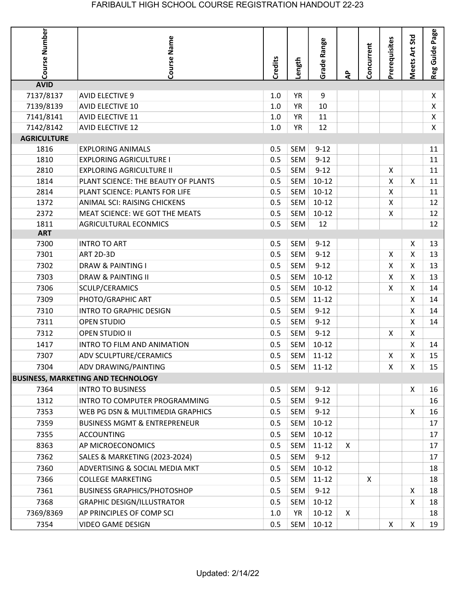| Course Number<br>Meets Art Std<br>Course Name<br>Prerequisites<br>Range<br>Concurrent<br>Credits<br>Length<br>Grade<br>दै | Page<br>Reg Guide |
|---------------------------------------------------------------------------------------------------------------------------|-------------------|
| <b>AVID</b>                                                                                                               |                   |
| 7137/8137<br><b>YR</b><br>9<br><b>AVID ELECTIVE 9</b><br>1.0                                                              | X                 |
| 7139/8139<br><b>YR</b><br>10<br><b>AVID ELECTIVE 10</b><br>1.0                                                            | Χ                 |
| 7141/8141<br><b>AVID ELECTIVE 11</b><br><b>YR</b><br>11<br>1.0                                                            | Χ                 |
| 7142/8142<br>12<br><b>AVID ELECTIVE 12</b><br>$1.0\,$<br><b>YR</b>                                                        | X                 |
| <b>AGRICULTURE</b>                                                                                                        |                   |
| $9 - 12$<br>1816<br><b>EXPLORING ANIMALS</b><br>0.5<br>SEM                                                                | 11                |
| SEM<br><b>EXPLORING AGRICULTURE I</b><br>$9 - 12$<br>1810<br>0.5                                                          | 11                |
| <b>SEM</b><br>2810<br><b>EXPLORING AGRICULTURE II</b><br>0.5<br>$9 - 12$<br>X                                             | 11                |
| 0.5<br>$10-12$<br>X<br>X<br>SEM<br>1814<br>PLANT SCIENCE: THE BEAUTY OF PLANTS                                            | 11                |
| $10-12$<br>2814<br>0.5<br>SEM<br>X<br>PLANT SCIENCE: PLANTS FOR LIFE                                                      | 11                |
| 0.5<br><b>SEM</b><br>$10 - 12$<br>X<br>1372<br>ANIMAL SCI: RAISING CHICKENS                                               | 12                |
| $10-12$<br>2372<br>MEAT SCIENCE: WE GOT THE MEATS<br>0.5<br>SEM<br>Χ                                                      | 12                |
| 0.5<br><b>SEM</b><br>1811<br><b>AGRICULTURAL ECONMICS</b><br>12                                                           | 12                |
| <b>ART</b><br>0.5<br>7300<br><b>INTRO TO ART</b><br>SEM<br>$9 - 12$<br>X                                                  | 13                |
| <b>SEM</b><br>$9 - 12$<br>X<br>X<br>7301<br><b>ART 2D-3D</b><br>0.5                                                       | 13                |
| $9 - 12$<br>X<br>7302<br><b>DRAW &amp; PAINTING I</b><br>0.5<br>SEM<br>X                                                  | 13                |
| <b>SEM</b><br>$10-12$                                                                                                     |                   |
| 0.5<br>X<br>7303<br>DRAW & PAINTING II<br>X.                                                                              | 13                |
| 0.5<br>$10 - 12$<br>X<br>7306<br><b>SEM</b><br>X<br>SCULP/CERAMICS                                                        | 14                |
| PHOTO/GRAPHIC ART<br>0.5<br>SEM<br>$11 - 12$<br>7309<br>X                                                                 | 14                |
| $9 - 12$<br>X<br>7310<br><b>INTRO TO GRAPHIC DESIGN</b><br>0.5<br>SEM                                                     | 14                |
| 0.5<br><b>SEM</b><br>$9 - 12$<br>X<br>7311<br><b>OPEN STUDIO</b>                                                          | 14                |
| X<br>7312<br>0.5<br>SEM<br>$9 - 12$<br>X<br><b>OPEN STUDIO II</b>                                                         |                   |
| 1417<br>INTRO TO FILM AND ANIMATION<br>0.5<br><b>SEM</b><br>$10-12$<br>X                                                  | 14                |
| X<br>$11 - 12$<br>X<br>7307<br>ADV SCULPTURE/CERAMICS<br>0.5<br>SEM                                                       | 15                |
| 7304<br>ADV DRAWING/PAINTING<br>SEM 11-12<br>X<br>0.5<br>X.                                                               | 15                |
| <b>BUSINESS, MARKETING AND TECHNOLOGY</b>                                                                                 |                   |
| 7364<br><b>INTRO TO BUSINESS</b><br>SEM<br>$9-12$<br>0.5<br>X                                                             | 16                |
| 1312<br><b>SEM</b><br>$9 - 12$<br>INTRO TO COMPUTER PROGRAMMING<br>0.5                                                    | 16                |
| $9 - 12$<br>X<br>7353<br>WEB PG DSN & MULTIMEDIA GRAPHICS<br>0.5<br><b>SEM</b>                                            | 16                |
| $10-12$<br>7359<br><b>BUSINESS MGMT &amp; ENTREPRENEUR</b><br>0.5<br><b>SEM</b>                                           | 17                |
| 7355<br>$10-12$<br><b>ACCOUNTING</b><br>0.5<br><b>SEM</b>                                                                 | 17                |
| $\mathsf{X}$<br>8363<br>AP MICROECONOMICS<br>0.5<br>SEM<br>$11 - 12$                                                      | 17                |
| 7362<br>SALES & MARKETING (2023-2024)<br>0.5<br>$9 - 12$<br><b>SEM</b>                                                    | 17                |
| $10-12$<br>7360<br>ADVERTISING & SOCIAL MEDIA MKT<br>0.5<br>SEM                                                           | 18                |
| $\mathsf{X}$<br>7366<br><b>COLLEGE MARKETING</b><br>0.5<br>$11 - 12$<br><b>SEM</b>                                        | 18                |
| Χ<br>$9 - 12$<br>7361<br><b>BUSINESS GRAPHICS/PHOTOSHOP</b><br>0.5<br><b>SEM</b>                                          | 18                |
| X<br>7368<br>0.5<br>$10 - 12$<br><b>GRAPHIC DESIGN/ILLUSTRATOR</b><br><b>SEM</b>                                          | 18                |
| 7369/8369<br>$10 - 12$<br>$\mathsf{X}$<br>AP PRINCIPLES OF COMP SCI<br>YR<br>1.0                                          | 18                |
| $\mathsf X$<br>7354<br><b>VIDEO GAME DESIGN</b><br>0.5<br>$10 - 12$<br>X<br>SEM                                           | 19                |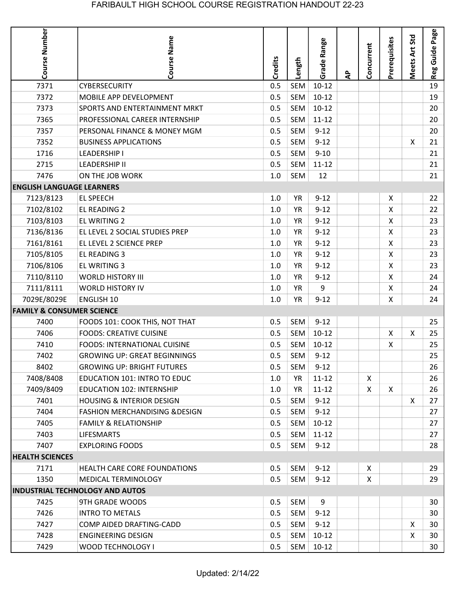| Course Number                        | Course Name                               | Credits | Length     | Range<br>Grade | ą | Concurrent         | Prerequisites | Meets Art Std | Page<br>Reg Guide |
|--------------------------------------|-------------------------------------------|---------|------------|----------------|---|--------------------|---------------|---------------|-------------------|
| 7371                                 | <b>CYBERSECURITY</b>                      | 0.5     | <b>SEM</b> | $10 - 12$      |   |                    |               |               | 19                |
| 7372                                 | MOBILE APP DEVELOPMENT                    | 0.5     | <b>SEM</b> | $10-12$        |   |                    |               |               | 19                |
| 7373                                 | SPORTS AND ENTERTAINMENT MRKT             | 0.5     | <b>SEM</b> | $10-12$        |   |                    |               |               | 20                |
| 7365                                 | PROFESSIONAL CAREER INTERNSHIP            | 0.5     | SEM        | $11 - 12$      |   |                    |               |               | 20                |
| 7357                                 | PERSONAL FINANCE & MONEY MGM              | 0.5     | <b>SEM</b> | $9 - 12$       |   |                    |               |               | 20                |
| 7352                                 | <b>BUSINESS APPLICATIONS</b>              | 0.5     | <b>SEM</b> | $9 - 12$       |   |                    |               | X             | 21                |
| 1716                                 | <b>LEADERSHIP I</b>                       | 0.5     | <b>SEM</b> | $9 - 10$       |   |                    |               |               | 21                |
| 2715                                 | <b>LEADERSHIP II</b>                      | 0.5     | <b>SEM</b> | $11 - 12$      |   |                    |               |               | 21                |
| 7476                                 | ON THE JOB WORK                           | $1.0$   | <b>SEM</b> | 12             |   |                    |               |               | 21                |
| <b>ENGLISH LANGUAGE LEARNERS</b>     |                                           |         |            |                |   |                    |               |               |                   |
| 7123/8123                            | <b>EL SPEECH</b>                          | 1.0     | <b>YR</b>  | $9 - 12$       |   |                    | $\mathsf{X}$  |               | 22                |
| 7102/8102                            | EL READING 2                              | 1.0     | <b>YR</b>  | $9 - 12$       |   |                    | X             |               | 22                |
| 7103/8103                            | EL WRITING 2                              | 1.0     | <b>YR</b>  | $9 - 12$       |   |                    | X             |               | 23                |
| 7136/8136                            | EL LEVEL 2 SOCIAL STUDIES PREP            | 1.0     | <b>YR</b>  | $9 - 12$       |   |                    | X             |               | 23                |
| 7161/8161                            | EL LEVEL 2 SCIENCE PREP                   | $1.0$   | <b>YR</b>  | $9 - 12$       |   |                    | X             |               | 23                |
| 7105/8105                            | <b>EL READING 3</b>                       | 1.0     | <b>YR</b>  | $9 - 12$       |   |                    | X             |               | 23                |
| 7106/8106                            | <b>EL WRITING 3</b>                       | 1.0     | <b>YR</b>  | $9 - 12$       |   |                    | X             |               | 23                |
| 7110/8110                            | <b>WORLD HISTORY III</b>                  | 1.0     | <b>YR</b>  | $9 - 12$       |   |                    | X             |               | 24                |
| 7111/8111                            | <b>WORLD HISTORY IV</b>                   | 1.0     | <b>YR</b>  | 9              |   |                    | Χ             |               | 24                |
| 7029E/8029E                          | <b>ENGLISH 10</b>                         | $1.0\,$ | <b>YR</b>  | $9 - 12$       |   |                    | X             |               | 24                |
| <b>FAMILY &amp; CONSUMER SCIENCE</b> |                                           |         |            |                |   |                    |               |               |                   |
| 7400                                 | FOODS 101: COOK THIS, NOT THAT            | 0.5     | SEM        | $9 - 12$       |   |                    |               |               | 25                |
| 7406                                 | <b>FOODS: CREATIVE CUISINE</b>            | 0.5     | SEM        | $10-12$        |   |                    | $\mathsf X$   | Χ             | 25                |
| 7410                                 | FOODS: INTERNATIONAL CUISINE              | 0.5     | <b>SEM</b> | $10-12$        |   |                    | X             |               | 25                |
| 7402                                 | <b>GROWING UP: GREAT BEGINNINGS</b>       | 0.5     | <b>SEM</b> | $9 - 12$       |   |                    |               |               | 25                |
| 8402                                 | <b>GROWING UP: BRIGHT FUTURES</b>         | 0.5     | SEM        | $9 - 12$       |   |                    |               |               | 26                |
| 7408/8408                            | <b>EDUCATION 101: INTRO TO EDUC</b>       | 1.0     | <b>YR</b>  | $11 - 12$      |   | $\pmb{\mathsf{X}}$ |               |               | 26                |
| 7409/8409                            | <b>EDUCATION 102: INTERNSHIP</b>          | 1.0     | <b>YR</b>  | $11 - 12$      |   | X                  | $\mathsf{X}$  |               | 26                |
| 7401                                 | <b>HOUSING &amp; INTERIOR DESIGN</b>      | 0.5     | SEM        | $9 - 12$       |   |                    |               | X             | 27                |
| 7404                                 | <b>FASHION MERCHANDISING &amp; DESIGN</b> | 0.5     | SEM        | $9 - 12$       |   |                    |               |               | 27                |
| 7405                                 | <b>FAMILY &amp; RELATIONSHIP</b>          | 0.5     | SEM        | $10-12$        |   |                    |               |               | 27                |
| 7403                                 | <b>LIFESMARTS</b>                         | 0.5     | <b>SEM</b> | $11 - 12$      |   |                    |               |               | 27                |
| 7407                                 | <b>EXPLORING FOODS</b>                    | 0.5     | SEM        | $9-12$         |   |                    |               |               | 28                |
| <b>HEALTH SCIENCES</b>               |                                           |         |            |                |   |                    |               |               |                   |
| 7171                                 | <b>HEALTH CARE CORE FOUNDATIONS</b>       | 0.5     | SEM        | $9 - 12$       |   | X                  |               |               | 29                |
| 1350                                 | MEDICAL TERMINOLOGY                       | 0.5     | SEM        | $9 - 12$       |   | X                  |               |               | 29                |
|                                      | <b>INDUSTRIAL TECHNOLOGY AND AUTOS</b>    |         |            |                |   |                    |               |               |                   |
| 7425                                 | 9TH GRADE WOODS                           | 0.5     | SEM        | 9              |   |                    |               |               | 30                |
| 7426                                 | <b>INTRO TO METALS</b>                    | 0.5     | SEM        | $9 - 12$       |   |                    |               |               | 30                |
| 7427                                 | COMP AIDED DRAFTING-CADD                  | 0.5     | SEM        | $9 - 12$       |   |                    |               | X             | 30                |
| 7428                                 | <b>ENGINEERING DESIGN</b>                 | 0.5     | <b>SEM</b> | $10 - 12$      |   |                    |               | X             | 30                |
| 7429                                 | WOOD TECHNOLOGY I                         | 0.5     |            | SEM 10-12      |   |                    |               |               | 30                |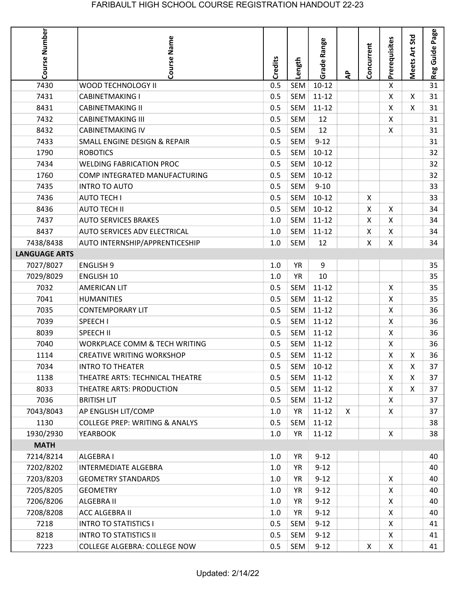| Course Number        | Course Name                               | Credits | Length     | Grade Range | ਟੈ           | Concurrent   | Prerequisites  | Meets Art Std | Page<br>Guide<br>Reg |
|----------------------|-------------------------------------------|---------|------------|-------------|--------------|--------------|----------------|---------------|----------------------|
| 7430                 | WOOD TECHNOLOGY II                        | 0.5     | <b>SEM</b> | $10 - 12$   |              |              | X              |               | 31                   |
| 7431                 | <b>CABINETMAKING I</b>                    | 0.5     | <b>SEM</b> | $11 - 12$   |              |              | X              | X             | 31                   |
| 8431                 | <b>CABINETMAKING II</b>                   | 0.5     | <b>SEM</b> | $11 - 12$   |              |              | X              | X.            | 31                   |
| 7432                 | <b>CABINETMAKING III</b>                  | 0.5     | SEM        | 12          |              |              | X.             |               | 31                   |
| 8432                 | <b>CABINETMAKING IV</b>                   | 0.5     | SEM        | 12          |              |              | X              |               | 31                   |
| 7433                 | SMALL ENGINE DESIGN & REPAIR              | 0.5     | <b>SEM</b> | $9 - 12$    |              |              |                |               | 31                   |
| 1790                 | <b>ROBOTICS</b>                           | 0.5     | <b>SEM</b> | $10 - 12$   |              |              |                |               | 32                   |
| 7434                 | <b>WELDING FABRICATION PROC</b>           | 0.5     | <b>SEM</b> | $10-12$     |              |              |                |               | 32                   |
| 1760                 | COMP INTEGRATED MANUFACTURING             | 0.5     | <b>SEM</b> | $10-12$     |              |              |                |               | 32                   |
| 7435                 | <b>INTRO TO AUTO</b>                      | 0.5     | <b>SEM</b> | $9 - 10$    |              |              |                |               | 33                   |
| 7436                 | <b>AUTO TECH I</b>                        | 0.5     | <b>SEM</b> | $10-12$     |              | X            |                |               | 33                   |
| 8436                 | <b>AUTO TECH II</b>                       | 0.5     | SEM        | $10 - 12$   |              | Χ            | X              |               | 34                   |
| 7437                 | <b>AUTO SERVICES BRAKES</b>               | 1.0     | <b>SEM</b> | $11 - 12$   |              | X            | X              |               | 34                   |
| 8437                 | <b>AUTO SERVICES ADV ELECTRICAL</b>       | 1.0     | SEM        | $11 - 12$   |              | X            | Χ              |               | 34                   |
| 7438/8438            | AUTO INTERNSHIP/APPRENTICESHIP            | 1.0     | SEM        | 12          |              | X            | X              |               | 34                   |
| <b>LANGUAGE ARTS</b> |                                           |         |            |             |              |              |                |               |                      |
| 7027/8027            | <b>ENGLISH 9</b>                          | 1.0     | <b>YR</b>  | 9           |              |              |                |               | 35                   |
| 7029/8029            | <b>ENGLISH 10</b>                         | 1.0     | <b>YR</b>  | 10          |              |              |                |               | 35                   |
| 7032                 | <b>AMERICAN LIT</b>                       | 0.5     | <b>SEM</b> | $11 - 12$   |              |              | X              |               | 35                   |
| 7041                 | <b>HUMANITIES</b>                         | 0.5     | SEM        | $11 - 12$   |              |              | X              |               | 35                   |
| 7035                 | <b>CONTEMPORARY LIT</b>                   | 0.5     | SEM        | $11 - 12$   |              |              | X              |               | 36                   |
| 7039                 | SPEECH I                                  | 0.5     | SEM        | $11 - 12$   |              |              | X              |               | 36                   |
| 8039                 | <b>SPEECH II</b>                          | 0.5     | SEM        | $11 - 12$   |              |              | X              |               | 36                   |
| 7040                 | <b>WORKPLACE COMM &amp; TECH WRITING</b>  | 0.5     | SEM        | $11 - 12$   |              |              | X              |               | 36                   |
| 1114                 | <b>CREATIVE WRITING WORKSHOP</b>          | 0.5     | SEM        | $11 - 12$   |              |              | Χ              | Χ             | 36                   |
| 7034                 | <b>INTRO TO THEATER</b>                   | 0.5     |            | SEM 10-12   |              |              | X              | X             | 37                   |
| 1138                 | THEATRE ARTS: TECHNICAL THEATRE           | 0.5     |            | SEM 11-12   |              |              | X              | X             | 37                   |
| 8033                 | THEATRE ARTS: PRODUCTION                  | 0.5     | SEM        | $11 - 12$   |              |              | X              | X             | 37                   |
| 7036                 | <b>BRITISH LIT</b>                        | 0.5     |            | SEM 11-12   |              |              | X              |               | 37                   |
| 7043/8043            | AP ENGLISH LIT/COMP                       | 1.0     | YR         | $11 - 12$   | $\mathsf{X}$ |              | X              |               | 37                   |
| 1130                 | <b>COLLEGE PREP: WRITING &amp; ANALYS</b> | 0.5     | SEM        | $11 - 12$   |              |              |                |               | 38                   |
| 1930/2930            | <b>YEARBOOK</b>                           | $1.0\,$ | YR         | $11 - 12$   |              |              | $\mathsf{X}$   |               | 38                   |
| <b>MATH</b>          |                                           |         |            |             |              |              |                |               |                      |
| 7214/8214            | <b>ALGEBRA I</b>                          | 1.0     | YR         | $9 - 12$    |              |              |                |               | 40                   |
| 7202/8202            | <b>INTERMEDIATE ALGEBRA</b>               | 1.0     | <b>YR</b>  | $9 - 12$    |              |              |                |               | 40                   |
| 7203/8203            | <b>GEOMETRY STANDARDS</b>                 | 1.0     | <b>YR</b>  | $9 - 12$    |              |              | X              |               | 40                   |
| 7205/8205            | <b>GEOMETRY</b>                           | 1.0     | <b>YR</b>  | $9 - 12$    |              |              | X.             |               | 40                   |
| 7206/8206            | ALGEBRA II                                | 1.0     | YR         | $9 - 12$    |              |              | X              |               | 40                   |
| 7208/8208            | <b>ACC ALGEBRA II</b>                     | 1.0     | <b>YR</b>  | $9-12$      |              |              | $\mathsf{X}$   |               | 40                   |
| 7218                 | <b>INTRO TO STATISTICS I</b>              | 0.5     | SEM        | $9 - 12$    |              |              | X              |               | 41                   |
| 8218                 | <b>INTRO TO STATISTICS II</b>             | 0.5     | SEM        | $9 - 12$    |              |              | X              |               | 41                   |
| 7223                 | COLLEGE ALGEBRA: COLLEGE NOW              | 0.5     | SEM        | $9 - 12$    |              | $\mathsf{X}$ | $\mathsf{X}^-$ |               | 41                   |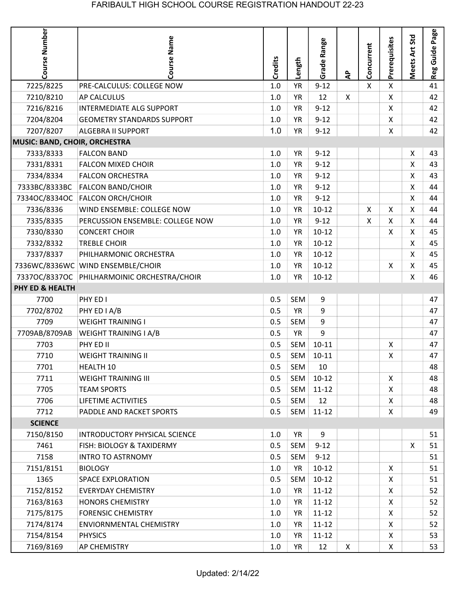|                               |                                             |                |            |             |              |              |                |                    | Page         |
|-------------------------------|---------------------------------------------|----------------|------------|-------------|--------------|--------------|----------------|--------------------|--------------|
| <b>Course Number</b>          | Course Name                                 | <b>Credits</b> | Length     | Grade Range | $\mathbf{a}$ | Concurrent   | Prerequisites  | Meets Art Std      | Guide<br>Reg |
| 7225/8225                     | PRE-CALCULUS: COLLEGE NOW                   | 1.0            | <b>YR</b>  | $9 - 12$    |              | $\mathsf{X}$ | X              |                    | 41           |
| 7210/8210                     | <b>AP CALCULUS</b>                          | 1.0            | <b>YR</b>  | 12          | $\mathsf{X}$ |              | X              |                    | 42           |
| 7216/8216                     | <b>INTERMEDIATE ALG SUPPORT</b>             | 1.0            | <b>YR</b>  | $9 - 12$    |              |              | X              |                    | 42           |
| 7204/8204                     | <b>GEOMETRY STANDARDS SUPPORT</b>           | 1.0            | <b>YR</b>  | $9 - 12$    |              |              | X              |                    | 42           |
| 7207/8207                     | <b>ALGEBRA II SUPPORT</b>                   | 1.0            | <b>YR</b>  | $9 - 12$    |              |              | $\mathsf{X}$   |                    | 42           |
| MUSIC: BAND, CHOIR, ORCHESTRA |                                             |                |            |             |              |              |                |                    |              |
| 7333/8333                     | <b>FALCON BAND</b>                          | 1.0            | <b>YR</b>  | $9 - 12$    |              |              |                | X                  | 43           |
| 7331/8331                     | <b>FALCON MIXED CHOIR</b>                   | 1.0            | <b>YR</b>  | $9 - 12$    |              |              |                | X                  | 43           |
| 7334/8334                     | <b>FALCON ORCHESTRA</b>                     | 1.0            | <b>YR</b>  | $9 - 12$    |              |              |                | X                  | 43           |
| 7333BC/8333BC                 | <b>FALCON BAND/CHOIR</b>                    | 1.0            | <b>YR</b>  | $9 - 12$    |              |              |                | X                  | 44           |
|                               | 7334OC/8334OC FALCON ORCH/CHOIR             | 1.0            | <b>YR</b>  | $9 - 12$    |              |              |                | Χ                  | 44           |
| 7336/8336                     | WIND ENSEMBLE: COLLEGE NOW                  | 1.0            | <b>YR</b>  | $10-12$     |              | X            | X              | X                  | 44           |
| 7335/8335                     | PERCUSSION ENSEMBLE: COLLEGE NOW            | 1.0            | <b>YR</b>  | $9 - 12$    |              | X            | X              | X                  | 44           |
| 7330/8330                     | <b>CONCERT CHOIR</b>                        | 1.0            | <b>YR</b>  | $10 - 12$   |              |              | X              | X                  | 45           |
| 7332/8332                     | <b>TREBLE CHOIR</b>                         | 1.0            | <b>YR</b>  | $10-12$     |              |              |                | $\pmb{\mathsf{X}}$ | 45           |
| 7337/8337                     | PHILHARMONIC ORCHESTRA                      | 1.0            | <b>YR</b>  | $10 - 12$   |              |              |                | X                  | 45           |
|                               | 7336WC/8336WC WIND ENSEMBLE/CHOIR           | 1.0            | <b>YR</b>  | $10 - 12$   |              |              | Χ              | X                  | 45           |
|                               | 7337OC/8337OC PHILHARMOINIC ORCHESTRA/CHOIR | $1.0\,$        | <b>YR</b>  | $10-12$     |              |              |                | X                  | 46           |
| <b>PHY ED &amp; HEALTH</b>    |                                             |                |            |             |              |              |                |                    |              |
| 7700                          | PHY ED I                                    | 0.5            | SEM        | 9           |              |              |                |                    | 47           |
| 7702/8702                     | PHY ED I A/B                                | 0.5            | <b>YR</b>  | 9           |              |              |                |                    | 47           |
| 7709                          | <b>WEIGHT TRAINING I</b>                    | 0.5            | <b>SEM</b> | 9           |              |              |                |                    | 47           |
| 7709AB/8709AB                 | <b>WEIGHT TRAINING I A/B</b>                | 0.5            | <b>YR</b>  | 9           |              |              |                |                    | 47           |
| 7703                          | PHY ED II                                   | 0.5            | <b>SEM</b> | $10 - 11$   |              |              | X              |                    | 47           |
| 7710                          | WEIGHT TRAINING II                          | 0.5            | SEM        | $10 - 11$   |              |              | X              |                    | 47           |
| 7701                          | HEALTH 10                                   | 0.5            | SEM        | 10          |              |              |                |                    | 48           |
| 7711                          | <b>WEIGHT TRAINING III</b>                  | 0.5            | SEM        | $10-12$     |              |              | $\mathsf{X}$   |                    | 48           |
| 7705                          | <b>TEAM SPORTS</b>                          | 0.5            | SEM        | $11 - 12$   |              |              | $\mathsf{X}$   |                    | 48           |
| 7706                          | LIFETIME ACTIVITIES                         | 0.5            | SEM        | 12          |              |              | $\mathsf{X}$   |                    | 48           |
| 7712                          | PADDLE AND RACKET SPORTS                    | 0.5            | SEM        | $11 - 12$   |              |              | X              |                    | 49           |
| <b>SCIENCE</b>                |                                             |                |            |             |              |              |                |                    |              |
| 7150/8150                     | INTRODUCTORY PHYSICAL SCIENCE               | 1.0            | <b>YR</b>  | 9           |              |              |                |                    | 51           |
| 7461                          | <b>FISH: BIOLOGY &amp; TAXIDERMY</b>        | 0.5            | SEM        | $9 - 12$    |              |              |                | X                  | 51           |
| 7158                          | <b>INTRO TO ASTRNOMY</b>                    | 0.5            | SEM        | $9 - 12$    |              |              |                |                    | 51           |
| 7151/8151                     | <b>BIOLOGY</b>                              | 1.0            | YR         | $10 - 12$   |              |              | $\mathsf{X}$   |                    | 51           |
| 1365                          | <b>SPACE EXPLORATION</b>                    | 0.5            | SEM        | $10-12$     |              |              | X.             |                    | 51           |
| 7152/8152                     | <b>EVERYDAY CHEMISTRY</b>                   | 1.0            | YR         | $11 - 12$   |              |              | $\mathsf{X}$   |                    | 52           |
| 7163/8163                     | <b>HONORS CHEMISTRY</b>                     | 1.0            | YR         | $11 - 12$   |              |              | X              |                    | 52           |
| 7175/8175                     | <b>FORENSIC CHEMISTRY</b>                   | 1.0            | YR         | $11 - 12$   |              |              | X              |                    | 52           |
| 7174/8174                     | <b>ENVIORNMENTAL CHEMISTRY</b>              | 1.0            | YR         | $11 - 12$   |              |              | $\mathsf{X}$   |                    | 52           |
| 7154/8154                     | <b>PHYSICS</b>                              | 1.0            | YR         | $11 - 12$   |              |              | X              |                    | 53           |
| 7169/8169                     | <b>AP CHEMISTRY</b>                         | 1.0            | <b>YR</b>  | 12          | $\mathsf{X}$ |              | $\mathsf{X}^-$ |                    | 53           |